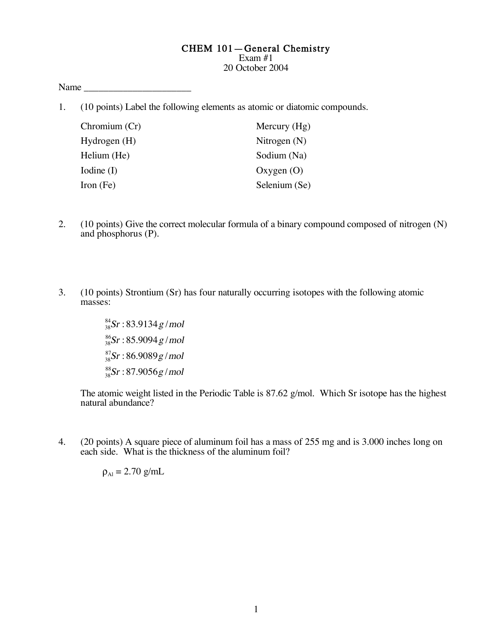## CHEM 101—General Chemistry

Exam #1 20 October 2004

Name  $\Box$ 

1. (10 points) Label the following elements as atomic or diatomic compounds.

| Chromium (Cr) | Mercury $(Hg)$ |
|---------------|----------------|
| Hydrogen (H)  | Nitrogen $(N)$ |
| Helium (He)   | Sodium (Na)    |
| Iodine (I)    | Oxygen $(O)$   |
| Iron (Fe)     | Selenium (Se)  |

- 2. (10 points) Give the correct molecular formula of a binary compound composed of nitrogen (N) and phosphorus (P).
- 3. (10 points) Strontium (Sr) has four naturally occurring isotopes with the following atomic masses:

 $\frac{84}{38}$ Sr : 83.9134 $g$  / mol  $\frac{86}{38}$ Sr : 85.9094 g / mol  $^{87}_{38}Sr$ : 86.9089 $g$  / mol  $\frac{88}{38}$ Sr : 87.9056g / mol

The atomic weight listed in the Periodic Table is 87.62 g/mol. Which Sr isotope has the highest natural abundance?

4. (20 points) A square piece of aluminum foil has a mass of 255 mg and is 3.000 inches long on each side. What is the thickness of the aluminum foil?

 $\rho_{Al} = 2.70$  g/mL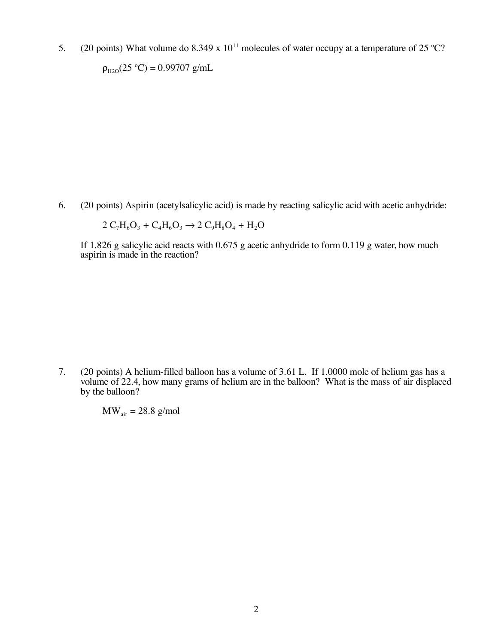5. (20 points) What volume do 8.349 x  $10^{11}$  molecules of water occupy at a temperature of 25 °C?

 $\rho_{\text{H2O}}(25 \text{ °C}) = 0.99707 \text{ g/mL}$ 

6. (20 points) Aspirin (acetylsalicylic acid) is made by reacting salicylic acid with acetic anhydride:

 $2 C_7H_6O_3 + C_4H_6O_3 \rightarrow 2 C_9H_8O_4 + H_2O$ 

If 1.826 g salicylic acid reacts with 0.675 g acetic anhydride to form 0.119 g water, how much aspirin is made in the reaction?

7. (20 points) A helium-filled balloon has a volume of 3.61 L. If 1.0000 mole of helium gas has a volume of 22.4, how many grams of helium are in the balloon? What is the mass of air displaced by the balloon?

 $MW<sub>air</sub> = 28.8$  g/mol